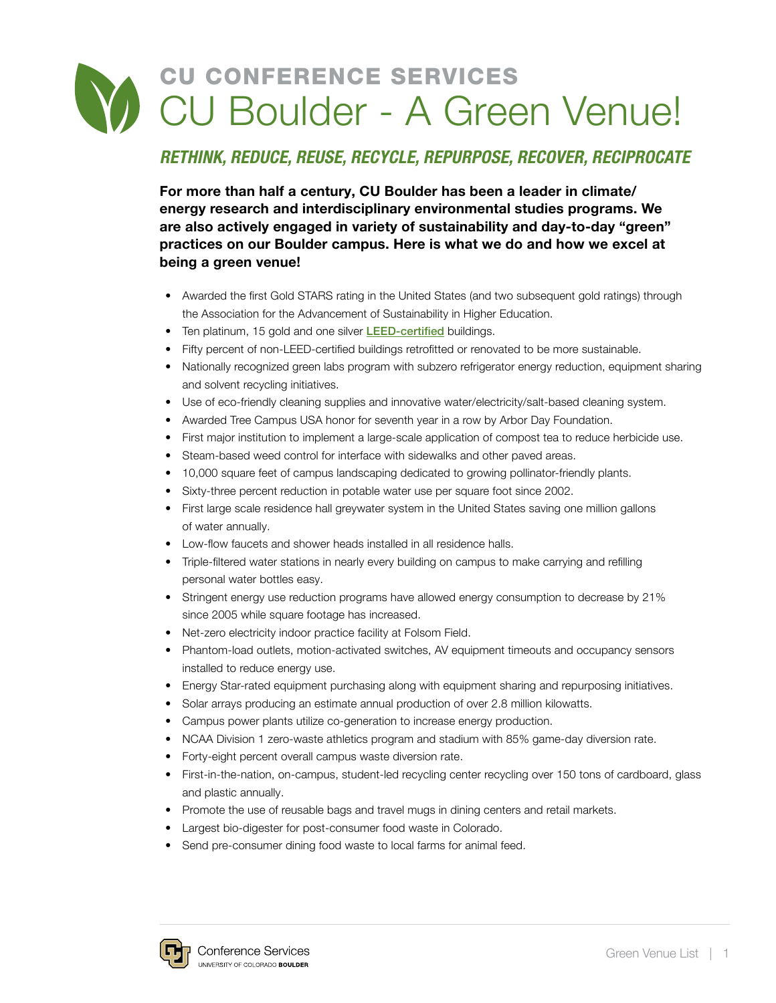## CU CONFERENCE SERVICES CU Boulder - A Green Venue!

## *RETHINK, REDUCE, REUSE, RECYCLE, REPURPOSE, RECOVER, RECIPROCATE*

For more than half a century, CU Boulder has been a leader in climate/ energy research and interdisciplinary environmental studies programs. We are also actively engaged in variety of sustainability and day-to-day "green" practices on our Boulder campus. Here is what we do and how we excel at being a green venue!

- Awarded the first Gold STARS rating in the United States (and two subsequent gold ratings) through the Association for the Advancement of Sustainability in Higher Education.
- Ten platinum, 15 gold and one silver [LEED-certified](mailto:https://www.usgbc.org/leed?subject=) buildings.
- Fifty percent of non-LEED-certified buildings retrofitted or renovated to be more sustainable.
- Nationally recognized green labs program with subzero refrigerator energy reduction, equipment sharing and solvent recycling initiatives.
- Use of eco-friendly cleaning supplies and innovative water/electricity/salt-based cleaning system.
- Awarded Tree Campus USA honor for seventh year in a row by Arbor Day Foundation.
- First major institution to implement a large-scale application of compost tea to reduce herbicide use.
- Steam-based weed control for interface with sidewalks and other paved areas.
- 10,000 square feet of campus landscaping dedicated to growing pollinator-friendly plants.
- Sixty-three percent reduction in potable water use per square foot since 2002.
- First large scale residence hall greywater system in the United States saving one million gallons of water annually.
- Low-flow faucets and shower heads installed in all residence halls.
- Triple-filtered water stations in nearly every building on campus to make carrying and refilling personal water bottles easy.
- Stringent energy use reduction programs have allowed energy consumption to decrease by 21% since 2005 while square footage has increased.
- Net-zero electricity indoor practice facility at Folsom Field.
- Phantom-load outlets, motion-activated switches, AV equipment timeouts and occupancy sensors installed to reduce energy use.
- Energy Star-rated equipment purchasing along with equipment sharing and repurposing initiatives.
- Solar arrays producing an estimate annual production of over 2.8 million kilowatts.
- Campus power plants utilize co-generation to increase energy production.
- NCAA Division 1 zero-waste athletics program and stadium with 85% game-day diversion rate.
- Forty-eight percent overall campus waste diversion rate.
- First-in-the-nation, on-campus, student-led recycling center recycling over 150 tons of cardboard, glass and plastic annually.
- Promote the use of reusable bags and travel mugs in dining centers and retail markets.
- Largest bio-digester for post-consumer food waste in Colorado.
- Send pre-consumer dining food waste to local farms for animal feed.